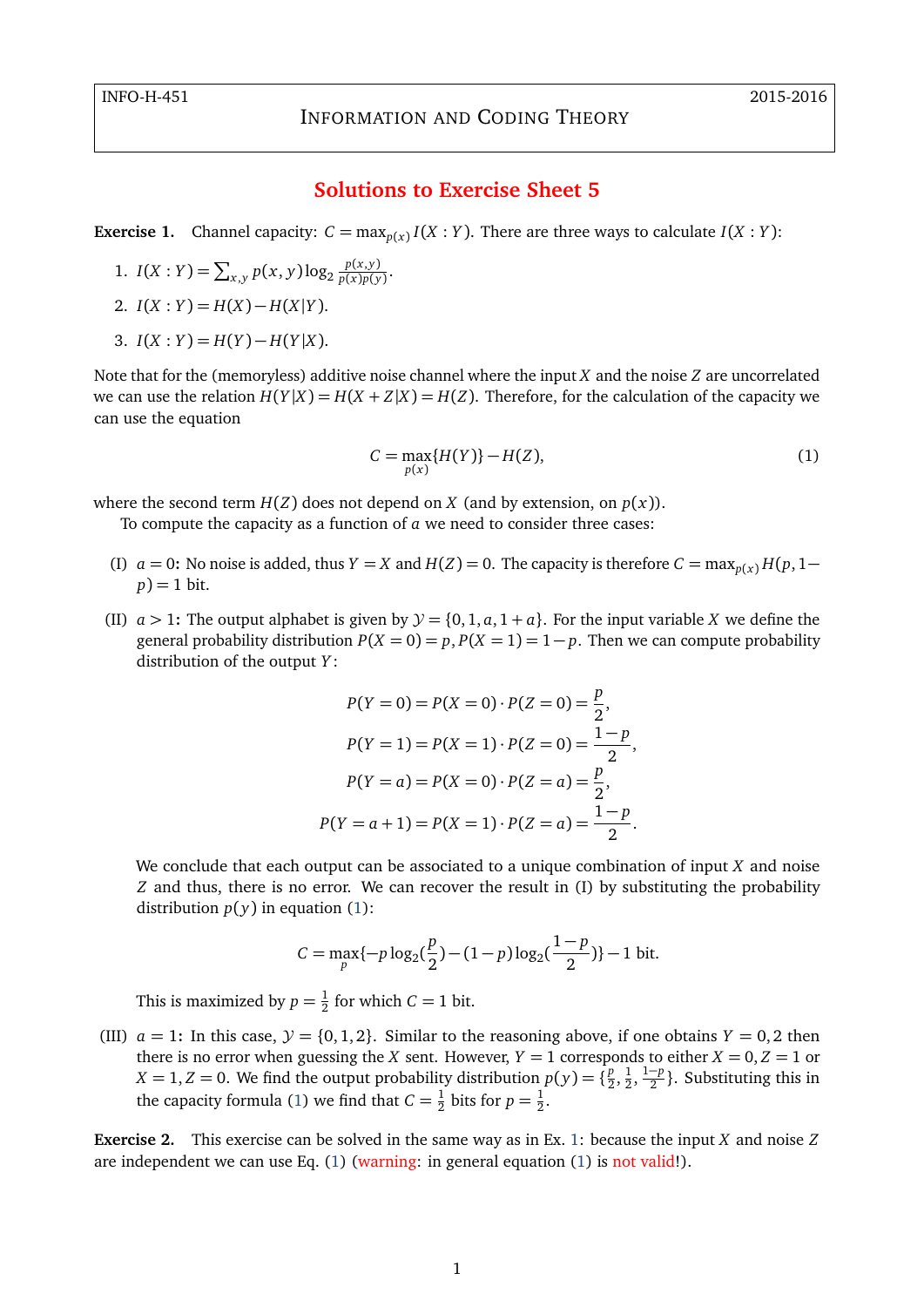## **Solutions to Exercise Sheet 5**

<span id="page-0-1"></span>**Exercise 1.** Channel capacity:  $C = \max_{p(x)} I(X : Y)$ . There are three ways to calculate  $I(X : Y)$ :

1. 
$$
I(X:Y) = \sum_{x,y} p(x,y) \log_2 \frac{p(x,y)}{p(x)p(y)}
$$
.

2. 
$$
I(X:Y) = H(X) - H(X|Y)
$$
.

3.  $I(X:Y) = H(Y) - H(Y|X)$ .

Note that for the (memoryless) additive noise channel where the input *X* and the noise *Z* are uncorrelated we can use the relation  $H(Y|X) = H(X + Z|X) = H(Z)$ . Therefore, for the calculation of the capacity we can use the equation

<span id="page-0-0"></span>
$$
C = \max_{p(x)} \{H(Y)\} - H(Z),
$$
 (1)

where the second term  $H(Z)$  does not depend on *X* (and by extension, on  $p(x)$ ).

To compute the capacity as a function of *a* we need to consider three cases:

- (I)  $a = 0$ : No noise is added, thus  $Y = X$  and  $H(Z) = 0$ . The capacity is therefore  $C = \max_{p(x)} H(p, 1-\frac{1}{2})$  $p$ ) = 1 bit.
- (II)  $a > 1$ : The output alphabet is given by  $\mathcal{Y} = \{0, 1, a, 1 + a\}$ . For the input variable *X* we define the general probability distribution  $P(X = 0) = p$ ,  $P(X = 1) = 1 - p$ . Then we can compute probability distribution of the output *Y* :

$$
P(Y = 0) = P(X = 0) \cdot P(Z = 0) = \frac{p}{2},
$$
  
\n
$$
P(Y = 1) = P(X = 1) \cdot P(Z = 0) = \frac{1 - p}{2},
$$
  
\n
$$
P(Y = a) = P(X = 0) \cdot P(Z = a) = \frac{p}{2},
$$
  
\n
$$
P(Y = a + 1) = P(X = 1) \cdot P(Z = a) = \frac{1 - p}{2}.
$$

We conclude that each output can be associated to a unique combination of input *X* and noise *Z* and thus, there is no error. We can recover the result in (I) by substituting the probability distribution  $p(y)$  in equation [\(1\)](#page-0-0):

$$
C = \max_{p} \{-p \log_2(\frac{p}{2}) - (1-p) \log_2(\frac{1-p}{2})\} - 1 \text{ bit.}
$$

This is maximized by  $p = \frac{1}{2}$  $\frac{1}{2}$  for which  $C = 1$  bit.

(III)  $a = 1$ : In this case,  $\mathcal{Y} = \{0, 1, 2\}$ . Similar to the reasoning above, if one obtains  $Y = 0, 2$  then there is no error when guessing the *X* sent. However,  $Y = 1$  corresponds to either  $X = 0, Z = 1$  or  $X = 1, Z = 0$ . We find the output probability distribution  $p(y) = \{ \frac{p}{2} \}$  $\frac{p}{2}, \frac{1}{2}$  $\frac{1}{2}, \frac{1-p}{2}$  $\frac{-p}{2}$ }. Substituting this in the capacity formula [\(1\)](#page-0-0) we find that  $C = \frac{1}{2}$  $\frac{1}{2}$  bits for  $p = \frac{1}{2}$  $rac{1}{2}$ .

**Exercise 2.** This exercise can be solved in the same way as in Ex. [1:](#page-0-1) because the input *X* and noise *Z* are independent we can use Eq. [\(1\)](#page-0-0) (warning: in general equation [\(1\)](#page-0-0) is not valid!).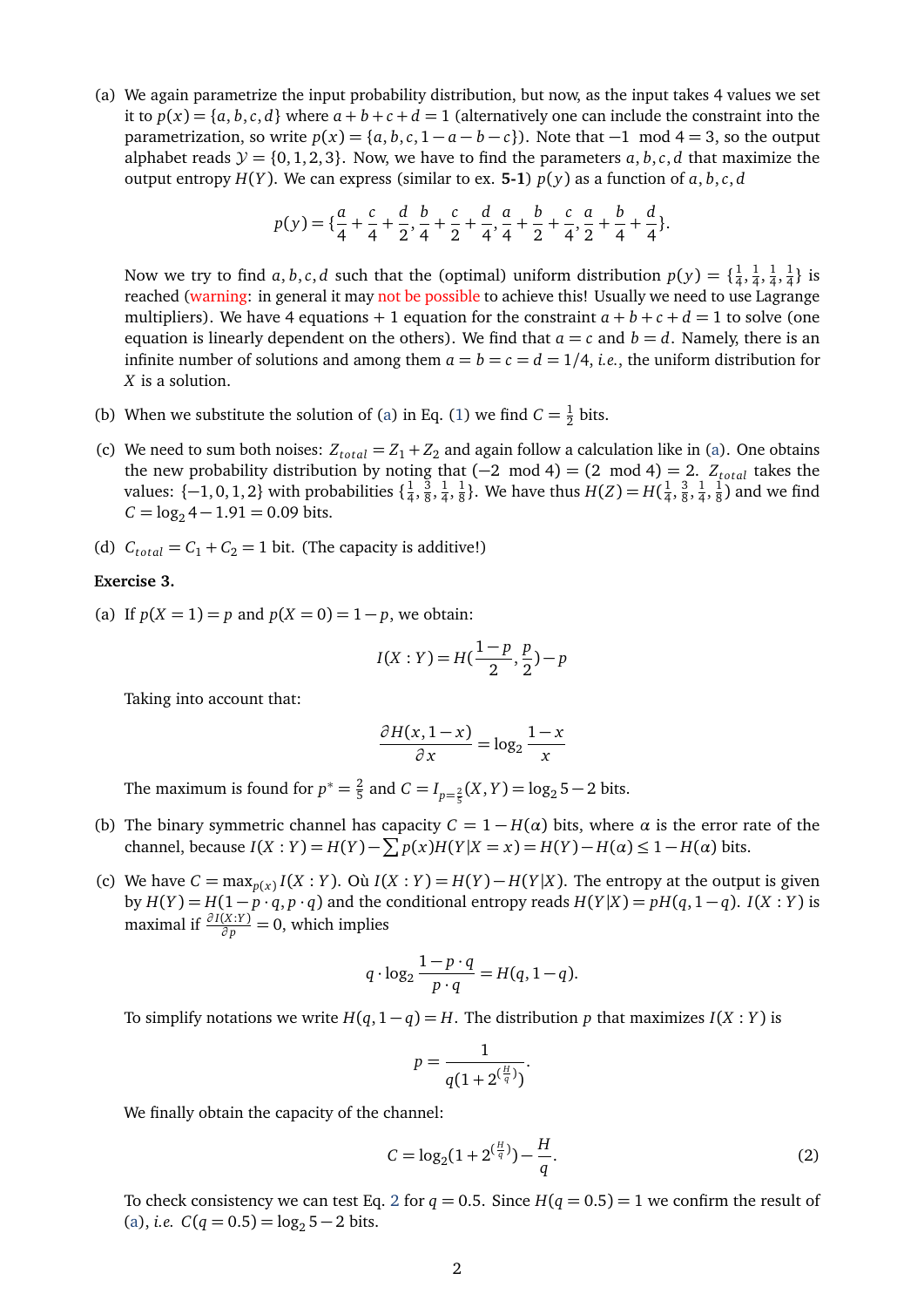<span id="page-1-0"></span>(a) We again parametrize the input probability distribution, but now, as the input takes 4 values we set it to  $p(x) = \{a, b, c, d\}$  where  $a + b + c + d = 1$  (alternatively one can include the constraint into the parametrization, so write  $p(x) = \{a, b, c, 1 - a - b - c\}$ . Note that  $-1$  mod  $4 = 3$ , so the output alphabet reads  $\mathcal{Y} = \{0, 1, 2, 3\}$ . Now, we have to find the parameters  $a, b, c, d$  that maximize the output entropy  $H(Y)$ . We can express (similar to ex. 5-1)  $p(y)$  as a function of  $a, b, c, d$ 

$$
p(y) = \{ \frac{a}{4} + \frac{c}{4} + \frac{d}{2}, \frac{b}{4} + \frac{c}{2} + \frac{d}{4}, \frac{a}{4} + \frac{b}{2} + \frac{c}{4}, \frac{a}{2} + \frac{b}{4} + \frac{d}{4} \}.
$$

Now we try to find  $a, b, c, d$  such that the (optimal) uniform distribution  $p(y) = \{\frac{1}{4}$  $\frac{1}{4}, \frac{1}{4}$  $\frac{1}{4}, \frac{1}{4}$  $\frac{1}{4}, \frac{1}{4}$  $\frac{1}{4}$ } is reached (warning: in general it may not be possible to achieve this! Usually we need to use Lagrange multipliers). We have 4 equations + 1 equation for the constraint  $a + b + c + d = 1$  to solve (one equation is linearly dependent on the others). We find that  $a = c$  and  $b = d$ . Namely, there is an infinite number of solutions and among them  $a = b = c = d = 1/4$ , *i.e.*, the uniform distribution for *X* is a solution.

- (b) When we substitute the solution of [\(a\)](#page-1-0) in Eq. [\(1\)](#page-0-0) we find  $C = \frac{1}{2}$  $rac{1}{2}$  bits.
- (c) We need to sum both noises:  $Z_{total} = Z_1 + Z_2$  and again follow a calculation like in [\(a\)](#page-1-0). One obtains the new probability distribution by noting that  $(-2 \mod 4) = (2 \mod 4) = 2$ . *Z*<sub>total</sub> takes the values:  $\{-1,0,1,2\}$  with probabilities  $\{\frac{1}{4},\frac{1}{4}\}$  $\frac{1}{4}, \frac{3}{8}$  $\frac{3}{8}, \frac{1}{4}$  $\frac{1}{4}, \frac{1}{8}$  $\frac{1}{8}$ }. We have thus  $H(Z) = H(\frac{1}{4})$  $\frac{1}{4}$ ,  $\frac{3}{8}$  $\frac{3}{8}, \frac{1}{4}$  $\frac{1}{4}, \frac{1}{8}$  $\frac{1}{8}$ ) and we find  $C = \log_2 4 - 1.91 = 0.09$  bits.
- (d)  $C_{total} = C_1 + C_2 = 1$  bit. (The capacity is additive!)

## <span id="page-1-3"></span>**Exercise 3.**

<span id="page-1-2"></span>(a) If  $p(X = 1) = p$  and  $p(X = 0) = 1 - p$ , we obtain:

$$
I(X:Y) = H(\frac{1-p}{2}, \frac{p}{2}) - p
$$

Taking into account that:

$$
\frac{\partial H(x, 1-x)}{\partial x} = \log_2 \frac{1-x}{x}
$$

The maximum is found for  $p^* = \frac{2}{5}$  $\frac{2}{5}$  and  $C = I_{p=\frac{2}{5}}(X, Y) = \log_2 5 - 2$  bits.

- (b) The binary symmetric channel has capacity  $C = 1 H(\alpha)$  bits, where  $\alpha$  is the error rate of the channel, because *I*(*X* : *Y*) = *H*(*Y*) −  $\sum p(x)$ *H*(*Y*|*X* = *x*) = *H*(*Y*) − *H*(*α*) ≤ 1 − *H*(*α*) bits.
- (c) We have  $C = \max_{p(x)} I(X : Y)$ . Où  $I(X : Y) = H(Y) H(Y|X)$ . The entropy at the output is given by  $H(Y) = H(1 - p \cdot q, p \cdot q)$  and the conditional entropy reads  $H(Y|X) = pH(q, 1 - q)$ . *I*(*X* : *Y*) is maximal if  $\frac{\partial I(X;Y)}{\partial p} = 0$ , which implies

$$
q \cdot \log_2 \frac{1 - p \cdot q}{p \cdot q} = H(q, 1 - q).
$$

To simplify notations we write  $H(q, 1 - q) = H$ . The distribution p that maximizes  $I(X : Y)$  is

<span id="page-1-1"></span>
$$
p = \frac{1}{q(1 + 2^{(\frac{H}{q})})}.
$$

We finally obtain the capacity of the channel:

$$
C = \log_2(1 + 2^{\left(\frac{H}{q}\right)}) - \frac{H}{q}.\tag{2}
$$

To check consistency we can test Eq. [2](#page-1-1) for  $q = 0.5$ . Since  $H(q = 0.5) = 1$  we confirm the result of [\(a\)](#page-1-2), *i.e.*  $C(q = 0.5) = \log_2 5 - 2$  bits.